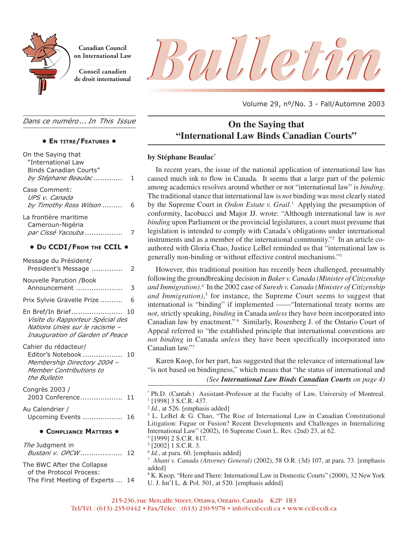

**Canadian Council on International Law**

**Conseil canadien**

Canadian Council<br>On International Law<br>de droit international<br>de droit international

Volume 29, nº/No. 3 - Fall/Automne 2003

*Dans ce numéro ... In This Issue*

### **• EN TITRE/FEATURES •**

| On the Saying that<br>"International Law<br><b>Binds Canadian Courts"</b><br>by Stéphane Beaulac                          | 1  |
|---------------------------------------------------------------------------------------------------------------------------|----|
| Case Comment:<br>UPS v. Canada<br>by Timothy Ross Wilson                                                                  | 6  |
| La frontière maritime<br>Cameroun-Nigéria<br>par Cissé Yacouba                                                            | 7  |
| • DU CCDI/FROM THE CCIL .                                                                                                 |    |
| Message du Président/<br>President's Message                                                                              | 2  |
| Nouvelle Parution /Book<br>Announcement                                                                                   | 3  |
| Prix Sylvie Gravelle Prize                                                                                                | 6  |
| En Bref/In Brief<br>Visite du Rapporteur Spécial des<br>Nations Unies sur le racisme -<br>Inauguration of Garden of Peace | 10 |
| Cahier du rédacteur/<br>Editor's Notebook<br>Membership Directory 2004 -<br>Member Contributions to<br>the Bulletin       | 10 |
| Congrès 2003 /<br>2003 Conference                                                                                         | 11 |
| Au Calendrier /<br>Upcoming Events                                                                                        | 16 |
| <b>• COMPLIANCE MATTERS •</b>                                                                                             |    |
| The Judgment in<br>Bustani v. OPCW                                                                                        | 12 |
| The BWC After the Collapse<br>of the Protocol Process:<br>The First Meeting of Experts  14                                |    |

# **On the Saying that "International Law Binds Canadian Courts"**

### **by Stéphane Beaulac\***

In recent years, the issue of the national application of international law has caused much ink to flow in Canada. It seems that a large part of the polemic among academics resolves around whether or not "international law" is *binding*. The traditional stance that international law is *not* binding was most clearly stated by the Supreme Court in *Ordon Estate v. Grail*. 1 Applying the presumption of conformity, Iacobucci and Major JJ. wrote: "Although international law is *not binding* upon Parliament or the provincial legislatures, a court must presume that legislation is intended to comply with Canada's obligations under international instruments and as a member of the international community."2 In an article coauthored with Gloria Chao, Justice LeBel reminded us that "international law is generally non-binding or without effective control mechanisms."3

However, this traditional position has recently been challenged, presumably following the groundbreaking decision in *Baker v. Canada (Minister of Citizenship* and Immigration).<sup>4</sup> In the 2002 case of Suresh v. Canada (Minister of Citizenship *and Immigration)*, <sup>5</sup> for instance, the Supreme Court seems to suggest that international is "binding" if implemented ——"International treaty norms are *not*, strictly speaking, *binding* in Canada *unless* they have been incorporated into Canadian law by enactment."<sup>6</sup> Similarly, Rosenberg J. of the Ontario Court of Appeal referred to "the established principle that international conventions are *not binding* in Canada *unless* they have been specifically incorporated into Canadian law."7

Karen Knop, for her part, has suggested that the relevance of international law "is not based on bindingness," which means that "the status of international and

### *(See International Law Binds Canadian Courts on page 4)*

\* Ph.D. (Cantab.) Assistant-Professor at the Faculty of Law, University of Montreal. 1 [1998] 3 S.C.R. 437.

<sup>2</sup> *Id.*, at 526. [emphasis added]

<sup>3</sup> L. LeBel & G. Chao, "The Rise of International Law in Canadian Constitutional Litigation: Fugue or Fusion? Recent Developments and Challenges in Internalizing International Law" (2002), 16 Supreme Court L. Rev. (2nd) 23, at 62.

- 4 [1999] 2 S.C.R. 817.
- 5 [2002] 1 S.C.R. 3.
- <sup>6</sup> *Id.*, at para. 60. [emphasis added]

7 *Ahani v. Canada (Attorney General)* (2002), 58 O.R. (3d) 107, at para. 73. [emphasis added]

<sup>8</sup> K. Knop, "Here and There: International Law in Domestic Courts" (2000), 32 New York U. J. Int'l L. & Pol. 501, at 520. [emphasis added]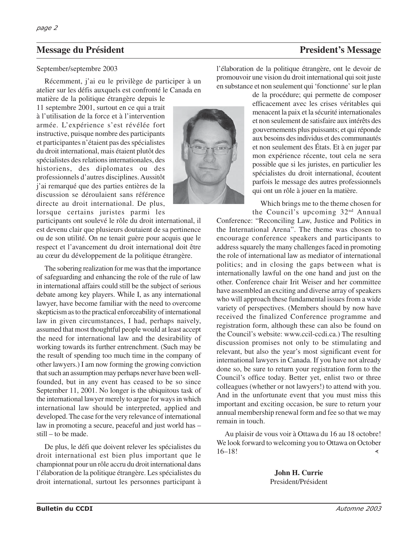# **Message du Président President et au la président du President's Message du Président du President du President du President du President du President du President du President du President du President du President du Pr**

### September/septembre 2003

Récemment, j'ai eu le privilège de participer à un atelier sur les défis auxquels est confronté le Canada en

matière de la politique étrangère depuis le 11 septembre 2001, surtout en ce qui a trait à l'utilisation de la force et à l'intervention armée. L'expérience s'est révélée fort instructive, puisque nombre des participants et participantes n'étaient pas des spécialistes du droit international, mais étaient plutôt des spécialistes des relations internationales, des historiens, des diplomates ou des professionnels d'autres disciplines. Aussitôt j'ai remarqué que des parties entières de la discussion se déroulaient sans référence directe au droit international. De plus, lorsque certains juristes parmi les

participants ont soulevé le rôle du droit international, il est devenu clair que plusieurs doutaient de sa pertinence ou de son utilité. On ne tenait guère pour acquis que le respect et l'avancement du droit international doit être au cœur du développement de la politique étrangère.

The sobering realization for me was that the importance of safeguarding and enhancing the role of the rule of law in international affairs could still be the subject of serious debate among key players. While I, as any international lawyer, have become familiar with the need to overcome skepticism as to the practical enforceability of international law in given circumstances, I had, perhaps naively, assumed that most thoughtful people would at least accept the need for international law and the desirability of working towards its further entrenchment. (Such may be the result of spending too much time in the company of other lawyers.) I am now forming the growing conviction that such an assumption may perhaps never have been wellfounded, but in any event has ceased to be so since September 11, 2001. No longer is the ubiquitous task of the international lawyer merely to argue for ways in which international law should be interpreted, applied and developed. The case for the very relevance of international law in promoting a secure, peaceful and just world has – still – to be made.

De plus, le défi que doivent relever les spécialistes du droit international est bien plus important que le championnat pour un rôle accru du droit international dans l'élaboration de la politique étrangère. Les spécialistes du droit international, surtout les personnes participant à

l'élaboration de la politique étrangère, ont le devoir de promouvoir une vision du droit international qui soit juste en substance et non seulement qui 'fonctionne' sur le plan

> de la procédure; qui permette de composer efficacement avec les crises véritables qui menacent la paix et la sécurité internationales et non seulement de satisfaire aux intérêts des gouvernements plus puissants; et qui réponde aux besoins des individus et des communautés et non seulement des États. Et à en juger par mon expérience récente, tout cela ne sera possible que si les juristes, en particulier les spécialistes du droit international, écoutent parfois le message des autres professionnels qui ont un rôle à jouer en la matière.

Which brings me to the theme chosen for

the Council's upcoming 32nd Annual Conference: "Reconciling Law, Justice and Politics in the International Arena". The theme was chosen to encourage conference speakers and participants to address squarely the many challenges faced in promoting the role of international law as mediator of international politics; and in closing the gaps between what is internationally lawful on the one hand and just on the other. Conference chair Irit Weiser and her committee have assembled an exciting and diverse array of speakers who will approach these fundamental issues from a wide variety of perspectives. (Members should by now have received the finalized Conference programme and registration form, although these can also be found on the Council's website: www.ccil-ccdi.ca.) The resulting discussion promises not only to be stimulating and relevant, but also the year's most significant event for international lawyers in Canada. If you have not already done so, be sure to return your registration form to the Council's office today. Better yet, enlist two or three colleagues (whether or not lawyers!) to attend with you. And in the unfortunate event that you must miss this important and exciting occasion, be sure to return your annual membership renewal form and fee so that we may remain in touch.

Au plaisir de vous voir à Ottawa du 16 au 18 octobre! We look forward to welcoming you to Ottawa on October 16–18! ∢

> **John H. Currie** President/Président

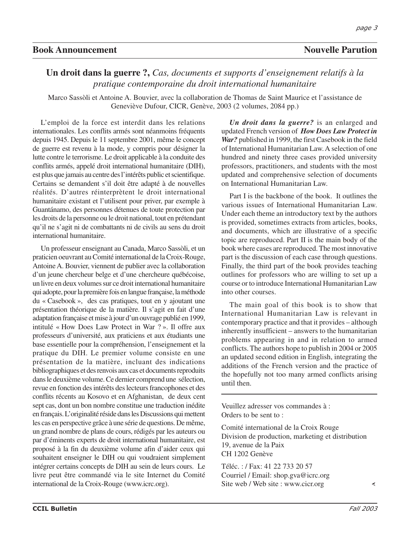## **Book Announcement** Nouvelle Parution

## **Un droit dans la guerre ?,** *Cas, documents et supports d'enseignement relatifs à la pratique contemporaine du droit international humanitaire*

Marco Sassòli et Antoine A. Bouvier, avec la collaboration de Thomas de Saint Maurice et l'assistance de Geneviève Dufour, CICR, Genève, 2003 (2 volumes, 2084 pp.)

L'emploi de la force est interdit dans les relations internationales. Les conflits armés sont néanmoins fréquents depuis 1945. Depuis le 11 septembre 2001, même le concept de guerre est revenu à la mode, y compris pour désigner la lutte contre le terrorisme. Le droit applicable à la conduite des conflits armés, appelé droit international humanitaire (DIH), est plus que jamais au centre des l'intérêts public et scientifique. Certains se demandent s'il doit être adapté à de nouvelles réalités. D'autres réinterprètent le droit international humanitaire existant et l'utilisent pour priver, par exemple à Guantánamo, des personnes détenues de toute protection par les droits de la personne ou le droit national, tout en prétendant qu'il ne s'agit ni de combattants ni de civils au sens du droit international humanitaire.

Un professeur enseignant au Canada, Marco Sassòli, et un praticien oeuvrant au Comité international de la Croix-Rouge, Antoine A. Bouvier, viennent de publier avec la collaboration d'un jeune chercheur belge et d'une chercheure québécoise, un livre en deux volumes sur ce droit international humanitaire qui adopte, pour la première fois en langue française, la méthode du « Casebook », des cas pratiques, tout en y ajoutant une présentation théorique de la matière. Il s'agit en fait d'une adaptation française et mise à jour d'un ouvrage publié en 1999, intitulé « How Does Law Protect in War ? ». Il offre aux professeurs d'université, aux praticiens et aux étudiants une base essentielle pour la compréhension, l'enseignement et la pratique du DIH. Le premier volume consiste en une présentation de la matière, incluant des indications bibliographiques et des renvois aux cas et documents reproduits dans le deuxième volume. Ce dernier comprend une sélection, revue en fonction des intérêts des lecteurs francophones et des conflits récents au Kosovo et en Afghanistan, de deux cent sept cas, dont un bon nombre constitue une traduction inédite en français. L'originalité réside dans les Discussions qui mettent les cas en perspective grâce à une série de questions. De même, un grand nombre de plans de cours, rédigés par les auteurs ou par d'éminents experts de droit international humanitaire, est proposé à la fin du deuxième volume afin d'aider ceux qui souhaitent enseigner le DIH ou qui voudraient simplement intégrer certains concepts de DIH au sein de leurs cours. Le livre peut être commandé via le site Internet du Comité international de la Croix-Rouge (www.icrc.org).

*Un droit dans la guerre?* is an enlarged and updated French version of *How Does Law Protect in War?* published in 1999, the first Casebook in the field of International Humanitarian Law. A selection of one hundred and ninety three cases provided university professors, practitioners, and students with the most updated and comprehensive selection of documents on International Humanitarian Law.

Part I is the backbone of the book. It outlines the various issues of International Humanitarian Law. Under each theme an introductory text by the authors is provided, sometimes extracts from articles, books, and documents, which are illustrative of a specific topic are reproduced. Part II is the main body of the book where cases are reproduced. The most innovative part is the discussion of each case through questions. Finally, the third part of the book provides teaching outlines for professors who are willing to set up a course or to introduce International Humanitarian Law into other courses.

The main goal of this book is to show that International Humanitarian Law is relevant in contemporary practice and that it provides – although inherently insufficient – answers to the humanitarian problems appearing in and in relation to armed conflicts. The authors hope to publish in 2004 or 2005 an updated second edition in English, integrating the additions of the French version and the practice of the hopefully not too many armed conflicts arising until then.

Veuillez adresser vos commandes à : Orders to be sent to :

Comité international de la Croix Rouge Division de production, marketing et distribution 19, avenue de la Paix CH 1202 Genève

Téléc. : / Fax: 41 22 733 20 57 Courriel / Email: shop.gva@icrc.org Site web / Web site : www.cicr.org

∢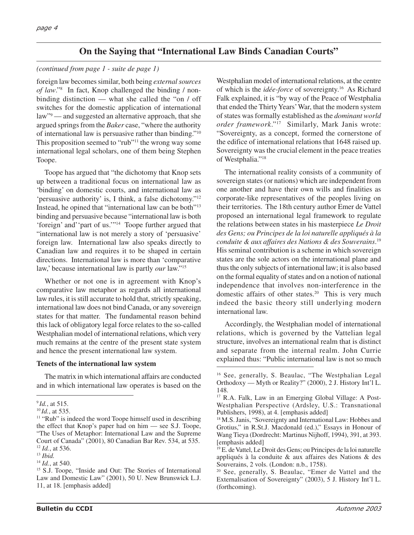# **On the Saying that "International Law Binds Canadian Courts"**

### *(continued from page 1 - suite de page 1)*

foreign law becomes similar, both being *external sources of law*."8 In fact, Knop challenged the binding / nonbinding distinction — what she called the "on / off switches for the domestic application of international law"<sup>9</sup> — and suggested an alternative approach, that she argued springs from the *Baker* case, "where the authority of international law is persuasive rather than binding."10 This proposition seemed to "rub"11 the wrong way some international legal scholars, one of them being Stephen Toope.

Toope has argued that "the dichotomy that Knop sets up between a traditional focus on international law as 'binding' on domestic courts, and international law as 'persuasive authority' is, I think, a false dichotomy."12 Instead, he opined that "international law can be both"13 binding and persuasive because "international law is both 'foreign' and''part of us.'"14 Toope further argued that "international law is not merely a story of 'persuasive' foreign law. International law also speaks directly to Canadian law and requires it to be shaped in certain directions. International law is more than 'comparative law,' because international law is partly *our* law."15

Whether or not one is in agreement with Knop's comparative law metaphor as regards all international law rules, it is still accurate to hold that, strictly speaking, international law does not bind Canada, or any sovereign states for that matter. The fundamental reason behind this lack of obligatory legal force relates to the so-called Westphalian model of international relations, which very much remains at the centre of the present state system and hence the present international law system.

### **Tenets of the international law system**

The matrix in which international affairs are conducted and in which international law operates is based on the

Westphalian model of international relations, at the centre of which is the *idée-force* of sovereignty.16 As Richard Falk explained, it is "by way of the Peace of Westphalia that ended the Thirty Years' War, that the modern system of states was formally established as the *dominant world order framework*."17 Similarly, Mark Janis wrote: "Sovereignty, as a concept, formed the cornerstone of the edifice of international relations that 1648 raised up. Sovereignty was the crucial element in the peace treaties of Westphalia."18

The international reality consists of a community of sovereign states (or nations) which are independent from one another and have their own wills and finalities as corporate-like representatives of the peoples living on their territories. The 18th century author Emer de Vattel proposed an international legal framework to regulate the relations between states in his masterpiece *Le Droit des Gens; ou Principes de la loi naturelle appliqués à la conduite & aux affaires des Nations & des Souverains*. 19 His seminal contribution is a scheme in which sovereign states are the sole actors on the international plane and thus the only subjects of international law; it is also based on the formal equality of states and on a notion of national independence that involves non-interference in the domestic affairs of other states.<sup>20</sup> This is very much indeed the basic theory still underlying modern international law.

Accordingly, the Westphalian model of international relations, which is governed by the Vattelian legal structure, involves an international realm that is distinct and separate from the internal realm. John Currie explained thus: "Public international law is not so much

<sup>9</sup>*Id.*, at 515.

<sup>10</sup>*Id.*, at 535.

<sup>&</sup>lt;sup>11</sup> "Rub" is indeed the word Toope himself used in describing the effect that Knop's paper had on him — see S.J. Toope, "The Uses of Metaphor: International Law and the Supreme Court of Canada" (2001), 80 Canadian Bar Rev. 534, at 535. <sup>12</sup> *Id.*, at 536.

<sup>13</sup> *Ibid.*

<sup>14</sup> *Id.*, at 540.

<sup>15</sup> S.J. Toope, "Inside and Out: The Stories of International Law and Domestic Law" (2001), 50 U. New Brunswick L.J. 11, at 18. [emphasis added]

<sup>16</sup> See, generally, S. Beaulac, "The Westphalian Legal Orthodoxy — Myth or Reality?" (2000), 2 J. History Int'l L. 148.

<sup>17</sup> R.A. Falk, Law in an Emerging Global Village: A Post-Westphalian Perspective (Ardsley, U.S.: Transnational Publishers, 1998), at 4. [emphasis added]

<sup>18</sup> M.S. Janis, "Sovereignty and International Law: Hobbes and Grotius," in R.St.J. Macdonald (ed.)," Essays in Honour of Wang Tieya (Dordrecht: Martinus Nijhoff, 1994), 391, at 393. [emphasis added]

<sup>19</sup> E. de Vattel, Le Droit des Gens; ou Principes de la loi naturelle appliqués à la conduite & aux affaires des Nations & des Souverains, 2 vols. (London: n.b., 1758).

<sup>20</sup> See, generally, S. Beaulac, "Emer de Vattel and the Externalisation of Sovereignty" (2003), 5 J. History Int'l L. (forthcoming).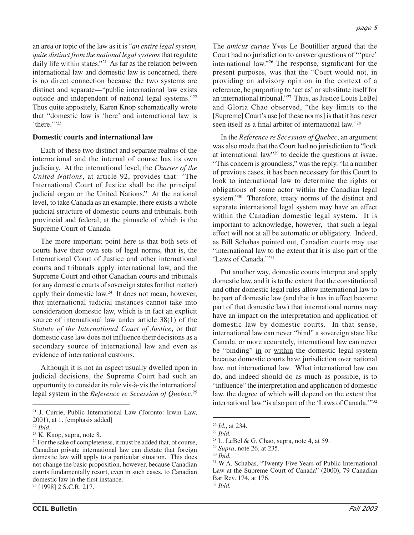an area or topic of the law as it is "*an entire legal system, quite distinct from the national legal systems*that regulate daily life within states."21 As far as the relation between international law and domestic law is concerned, there is no direct connection because the two systems are distinct and separate—"public international law exists outside and independent of national legal systems."22 Thus quite appositely, Karen Knop schematically wrote that "domestic law is 'here' and international law is 'there.'"<sup>23</sup>

### **Domestic courts and international law**

Each of these two distinct and separate realms of the international and the internal of course has its own judiciary. At the international level, the *Charter of the United Nations*, at article 92, provides that: "The International Court of Justice shall be the principal judicial organ or the United Nations." At the national level, to take Canada as an example, there exists a whole judicial structure of domestic courts and tribunals, both provincial and federal, at the pinnacle of which is the Supreme Court of Canada.

The more important point here is that both sets of courts have their own sets of legal norms, that is, the International Court of Justice and other international courts and tribunals apply international law, and the Supreme Court and other Canadian courts and tribunals (or any domestic courts of sovereign states for that matter) apply their domestic law.<sup>24</sup> It does not mean, however, that international judicial instances cannot take into consideration domestic law, which is in fact an explicit source of international law under article 38(1) of the *Statute of the International Court of Justice*, or that domestic case law does not influence their decisions as a secondary source of international law and even as evidence of international customs.

Although it is not an aspect usually dwelled upon in judicial decisions, the Supreme Court had such an opportunity to consider its role vis-à-vis the international legal system in the *Reference re Secession of Quebec*. 25

25 [1998] 2 S.C.R. 217.

The *amicus curiae* Yves Le Boutillier argued that the Court had no jurisdiction to answer questions of "'pure' international law."26 The response, significant for the present purposes, was that the "Court would not, in providing an advisory opinion in the context of a reference, be purporting to 'act as' or substitute itself for an international tribunal."27 Thus, as Justice Louis LeBel and Gloria Chao observed, "the key limits to the [Supreme] Court's use [of these norms] is that it has never seen itself as a final arbiter of international law."28

In the *Reference re Secession of Quebec*, an argument was also made that the Court had no jurisdiction to "look at international law"29 to decide the questions at issue. "This concern is groundless," was the reply. "In a number of previous cases, it has been necessary for this Court to look to international law to determine the rights or obligations of some actor within the Canadian legal system."30 Therefore, treaty norms of the distinct and separate international legal system may have an effect within the Canadian domestic legal system. It is important to acknowledge, however, that such a legal effect will not at all be automatic or obligatory. Indeed, as Bill Schabas pointed out, Canadian courts may use "international law to the extent that it is also part of the 'Laws of Canada.'"31

Put another way, domestic courts interpret and apply domestic law, and it is to the extent that the constitutional and other domestic legal rules allow international law to be part of domestic law (and that it has in effect become part of that domestic law) that international norms may have an impact on the interpretation and application of domestic law by domestic courts. In that sense, international law can never "bind" a sovereign state like Canada, or more accurately, international law can never be "binding" in or within the domestic legal system because domestic courts have jurisdiction over national law, not international law. What international law can do, and indeed should do as much as possible, is to "influence" the interpretation and application of domestic law, the degree of which will depend on the extent that international law "is also part of the 'Laws of Canada.'"32

<sup>21</sup> J. Currie, Public International Law (Toronto: Irwin Law, 2001), at 1. [emphasis added]

<sup>22</sup> *Ibid.*

<sup>23</sup> K. Knop, supra, note 8.

 $24$  For the sake of completeness, it must be added that, of course, Canadian private international law can dictate that foreign domestic law will apply to a particular situation. This does not change the basic proposition, however, because Canadian courts fundamentally resort, even in such cases, to Canadian domestic law in the first instance.

<sup>26</sup> *Id.*, at 234.

<sup>27</sup> *Ibid.*

 $28$  L. LeBel & G. Chao, supra, note 4, at 59.

<sup>29</sup> *Supra*, note 26, at 235.

<sup>30</sup> *Ibid.*

<sup>31</sup> W.A. Schabas, "Twenty-Five Years of Public International Law at the Supreme Court of Canada" (2000), 79 Canadian Bar Rev. 174, at 176. <sup>32</sup> *Ibid.*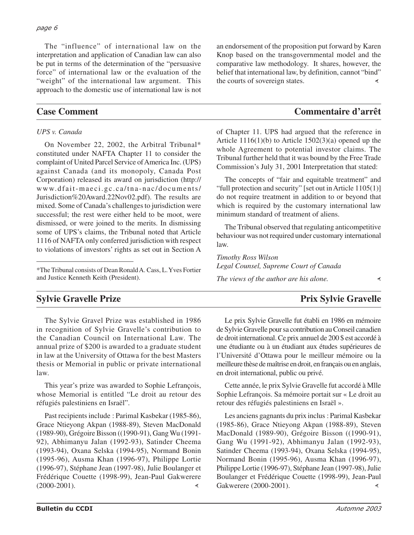The "influence" of international law on the interpretation and application of Canadian law can also be put in terms of the determination of the "persuasive force" of international law or the evaluation of the "weight" of the international law argument. This approach to the domestic use of international law is not

### *UPS v. Canada*

On November 22, 2002, the Arbitral Tribunal\* constituted under NAFTA Chapter 11 to consider the complaint of United Parcel Service of America Inc. (UPS) against Canada (and its monopoly, Canada Post Corporation) released its award on jurisdiction (http:// www.dfait-maeci.gc.ca/tna-nac/documents/ Jurisdiction%20Award.22Nov02.pdf). The results are mixed. Some of Canada's challenges to jurisdiction were successful; the rest were either held to be moot, were dismissed, or were joined to the merits. In dismissing some of UPS's claims, the Tribunal noted that Article 1116 of NAFTA only conferred jurisdiction with respect to violations of investors' rights as set out in Section A

\*The Tribunal consists of Dean Ronald A. Cass, L. Yves Fortier and Justice Kenneth Keith (President).

an endorsement of the proposition put forward by Karen Knop based on the transgovernmental model and the comparative law methodology. It shares, however, the belief that international law, by definition, cannot "bind" the courts of sovereign states.∢

# **Case Comment Commentaire d'arrêt**

of Chapter 11. UPS had argued that the reference in Article  $1116(1)(b)$  to Article  $1502(3)(a)$  opened up the whole Agreement to potential investor claims. The Tribunal further held that it was bound by the Free Trade Commission's July 31, 2001 Interpretation that stated:

The concepts of "fair and equitable treatment" and "full protection and security" [set out in Article 1105(1)] do not require treatment in addition to or beyond that which is required by the customary international law minimum standard of treatment of aliens.

The Tribunal observed that regulating anticompetitive behaviour was not required under customary international law.

*Timothy Ross Wilson Legal Counsel, Supreme Court of Canada*

*The views of the author are his alone.*

# **Sylvie Gravelle Prize** Prix Sylvie Gravelle

The Sylvie Gravel Prize was established in 1986 in recognition of Sylvie Gravelle's contribution to the Canadian Council on International Law. The annual prize of \$200 is awarded to a graduate student in law at the University of Ottawa for the best Masters thesis or Memorial in public or private international law.

This year's prize was awarded to Sophie Lefrançois, whose Memorial is entitled "Le droit au retour des réfugiés palestiniens en Israël".

Past recipients include : Parimal Kasbekar (1985-86), Grace Ntieyong Akpan (1988-89), Steven MacDonald (1989-90), Grégoire Bisson ((1990-91), Gang Wu (1991- 92), Abhimanyu Jalan (1992-93), Satinder Cheema (1993-94), Oxana Selska (1994-95), Normand Bonin (1995-96), Ausma Khan (1996-97), Philippe Lortie (1996-97), Stéphane Jean (1997-98), Julie Boulanger et Frédérique Couette (1998-99), Jean-Paul Gakwerere (2000-2001).  $\prec$ 

Le prix Sylvie Gravelle fut établi en 1986 en mémoire de Sylvie Gravelle pour sa contribution au Conseil canadien de droit international. Ce prix annuel de 200 \$ est accordé à une étudiante ou à un étudiant aux études supérieures de l'Université d'Ottawa pour le meilleur mémoire ou la meilleure thèse de maîtrise en droit, en français ou en anglais, en droit international, public ou privé.

Cette année, le prix Sylvie Gravelle fut accordé à Mlle Sophie Lefrançois. Sa mémoire portait sur « Le droit au retour des réfugiés palestiniens en Israël ».

Les anciens gagnants du prix inclus : Parimal Kasbekar (1985-86), Grace Ntieyong Akpan (1988-89), Steven MacDonald (1989-90), Grégoire Bisson ((1990-91), Gang Wu (1991-92), Abhimanyu Jalan (1992-93), Satinder Cheema (1993-94), Oxana Selska (1994-95), Normand Bonin (1995-96), Ausma Khan (1996-97), Philippe Lortie (1996-97), Stéphane Jean (1997-98), Julie Boulanger et Frédérique Couette (1998-99), Jean-Paul Gakwerere (2000-2001). ₹

∢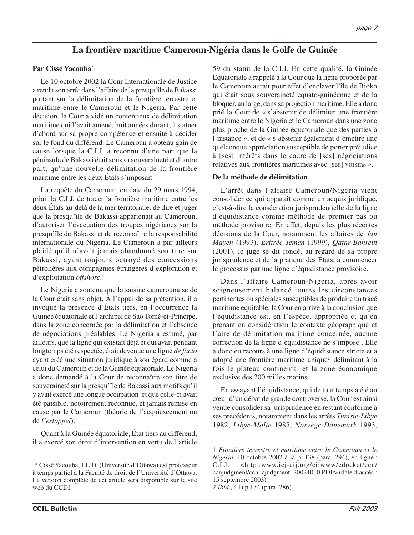# **La frontière maritime Cameroun-Nigéria dans le Golfe de Guinée**

### **Par Cissé Yacouba\***

Le 10 octobre 2002 la Cour Internationale de Justice a rendu son arrêt dans l'affaire de la presqu'île de Bakassi portant sur la délimitation de la frontière terrestre et maritime entre le Cameroun et le Nigeria. Par cette décision, la Cour a vidé un contentieux de délimitation maritime qui l'avait amené, huit années durant, à statuer d'abord sur sa propre compétence et ensuite à décider sur le fond du différend. Le Cameroun a obtenu gain de cause lorsque la C.I.J. a reconnu d'une part que la péninsule de Bakassi était sous sa souveraineté et d'autre part, qu'une nouvelle délimitation de la frontière maritime entre les deux États s'imposait.

La requête du Cameroun, en date du 29 mars 1994, priait la C.I.J. de tracer la frontière maritime entre les deux États au-delà de la mer territoriale, de dire et juger que la presqu'île de Bakassi appartenait au Cameroun, d'autoriser l'évacuation des troupes nigérianes sur la presqu'île de Bakassi et de reconnaître la responsabilité internationale du Nigeria. Le Cameroun a par ailleurs plaidé qu'il n'avait jamais abandonné son titre sur Bakassi, ayant toujours octroyé des concessions pétrolières aux compagnies étrangères d'exploration et d'exploitation *offshore*.

Le Nigeria a soutenu que la saisine camerounaise de la Cour était sans objet. À l'appui de sa prétention, il a invoqué la présence d'États tiers, en l'occurrence la Guinée équatoriale et l'archipel de Sao Tomé-et-Principe, dans la zone concernée par la délimitation et l'absence de négociations préalables. Le Nigeria a estimé, par ailleurs, que la ligne qui existait déjà et qui avait pendant longtemps été respectée, était devenue une ligne *de facto* ayant créé une situation juridique à son égard comme à celui du Cameroun et de la Guinée équatoriale. Le Nigeria a donc demandé à la Cour de reconnaître son titre de souveraineté sur la presqu'île de Bakassi aux motifs qu'il y avait exercé une longue occupation et que celle-ci avait été paisible, notoirement reconnue, et jamais remise en cause par le Cameroun (théorie de l'acquiescement ou de *l'estoppel*).

Quant à la Guinée équatoriale, État tiers au différend, il a exercé son droit d'intervention en vertu de l'article 59 du statut de la C.I.J. En cette qualité, la Guinée Equatoriale a rappelé à la Cour que la ligne proposée par le Cameroun aurait pour effet d'enclaver l'île de Bioko qui était sous souveraineté equato-guinéenne et de la bloquer, au large, dans sa projection maritime. Elle a donc prié la Cour de « s'abstenir de délimiter une frontière maritime entre le Nigeria et le Cameroun dans une zone plus proche de la Guinée équatoriale que des parties à l'instance », et de « s'abstenir également d'émettre une quelconque appréciation susceptible de porter préjudice à [ses] intérêts dans le cadre de [ses] négociations relatives aux frontières maritimes avec [ses] voisins ».

### **De la méthode de délimitation**

L'arrêt dans l'affaire Cameroun/Nigeria vient consolider ce qui apparaît comme un acquis juridique, c'est-à-dire la consécration jurisprudentielle de la ligne d'équidistance comme méthode de premier pas ou méthode provisoire. En effet, depuis les plus récentes décisions de la Cour, notamment les affaires de *Jan Mayen* (1993), *Eritrée-Yemen* (1999), *Qatar-Bahrein* (2001), le juge se dit fondé, au regard de sa propre jurisprudence et de la pratique des États, à commencer le processus par une ligne d'équidistance provisoire.

Dans l'affaire Cameroun-Nigeria, après avoir soigneusement balancé toutes les circonstances pertinentes ou spéciales susceptibles de produire un tracé maritime équitable, la Cour en arrive à la conclusion que l'équidistance est, en l'espèce, appropriée et qu'en prenant en considération le contexte géographique et l'aire de délimitation maritime concernée, aucune correction de la ligne d'équidistance ne s'impose1 . Elle a donc eu recours à une ligne d'équidistance stricte et a adopté une frontière maritime unique<sup>2</sup> délimitant à la fois le plateau continental et la zone économique exclusive des 200 milles marins.

En essayant l'équidistance, qui de tout temps a été au cœur d'un débat de grande controverse, la Cour est ainsi venue consolider sa jurisprudence en restant conforme à ses précédents, notamment dans les arrêts *Tunisie-Libye* 1982, *Libye-Malte* 1985, *Norvège-Danemark* 1993,

<sup>\*</sup> Cissé Yacouba, LL.D. (Université d'Ottawa) est professeur à temps partiel à la Faculté de droit de l'Université d'Ottawa. La version complète de cet article sera disponible sur le site web du CCDI.

<sup>1</sup> *Frontière terrestre et maritime entre le Cameroun et le Nigeria*, 10 octobre 2002 à la p. 138 (para. 294), en ligne : C.I.J. <http :www.icj-cij.org/cijwww/cdocket/ccn/ ccnjudgment/ccn\_cjudgment\_20021010.PDF> (date d'accès : 15 septembre 2003)

<sup>2</sup> *Ibid*., à la p.134 (para. 286).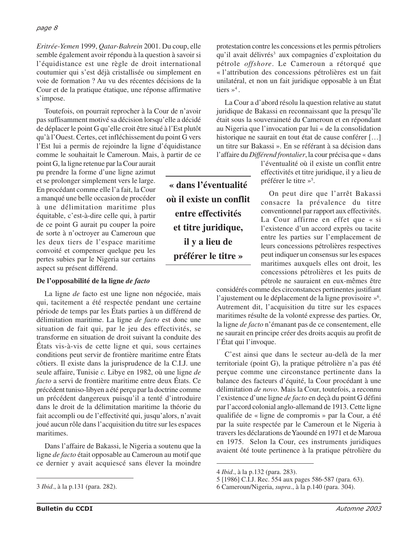*Eritrée-Yemen* 1999, *Qatar-Bahrein* 2001. Du coup, elle semble également avoir répondu à la question à savoir si l'équidistance est une règle de droit international coutumier qui s'est déjà cristallisée ou simplement en voie de formation ? Au vu des récentes décisions de la Cour et de la pratique étatique, une réponse affirmative s'impose.

Toutefois, on pourrait reprocher à la Cour de n'avoir pas suffisamment motivé sa décision lorsqu'elle a décidé de déplacer le point G qu'elle croit être situé à l'Est plutôt qu'à l'Ouest. Certes, cet infléchissement du point G vers l'Est lui a permis de rejoindre la ligne d'équidistance comme le souhaitait le Cameroun. Mais, à partir de ce

point G, la ligne retenue par la Cour aurait pu prendre la forme d'une ligne azimut et se prolonger simplement vers le large. En procédant comme elle l'a fait, la Cour a manqué une belle occasion de procéder à une délimitation maritime plus équitable, c'est-à-dire celle qui, à partir de ce point G aurait pu couper la poire de sorte à n'octroyer au Cameroun que les deux tiers de l'espace maritime convoité et compenser quelque peu les pertes subies par le Nigeria sur certains aspect su présent différend.

### **De l'opposabilité de la ligne** *de facto*

La ligne *de* facto est une ligne non négociée, mais qui, tacitement a été respectée pendant une certaine période de temps par les États parties à un différend de délimitation maritime. La ligne *de facto* est donc une situation de fait qui, par le jeu des effectivités, se transforme en situation de droit suivant la conduite des États vis-à-vis de cette ligne et qui, sous certaines conditions peut servir de frontière maritime entre États côtiers. Il existe dans la jurisprudence de la C.I.J. une seule affaire, Tunisie *c.* Libye en 1982, où une ligne *de facto* a servi de frontière maritime entre deux États. Ce précédent tuniso-libyen a été perçu par la doctrine comme un précédent dangereux puisqu'il a tenté d'introduire dans le droit de la délimitation maritime la théorie du fait accompli ou de l'effectivité qui, jusqu'alors, n'avait joué aucun rôle dans l'acquisition du titre sur les espaces maritimes.

Dans l'affaire de Bakassi, le Nigeria a soutenu que la ligne *de facto* était opposable au Cameroun au motif que ce dernier y avait acquiescé sans élever la moindre

**« dans l'éventualité où il existe un conflit entre effectivités et titre juridique, il y a lieu de préférer le titre »**

protestation contre les concessions et les permis pétroliers qu'il avait délivrés<sup>3</sup> aux compagnies d'exploitation du pétrole *offshore*. Le Cameroun a rétorqué que « l'attribution des concessions pétrolières est un fait unilatéral, et non un fait juridique opposable à un État tiers  $\mathcal{P}^4$ .

La Cour a d'abord résolu la question relative au statut juridique de Bakassi en reconnaissant que la presqu'île était sous la souveraineté du Cameroun et en répondant au Nigeria que l'invocation par lui « de la consolidation historique ne saurait en tout état de cause conférer [...] un titre sur Bakassi ». En se référant à sa décision dans l'affaire du *Différend frontalier*, la cour précisa que « dans

l'éventualité où il existe un conflit entre effectivités et titre juridique, il y a lieu de préférer le titre »5 .

On peut dire que l'arrêt Bakassi consacre la prévalence du titre conventionnel par rapport aux effectivités. La Cour affirme en effet que « si l'existence d'un accord exprès ou tacite entre les parties sur l'emplacement de leurs concessions pétrolières respectives peut indiquer un consensus sur les espaces maritimes auxquels elles ont droit, les concessions pétrolières et les puits de pétrole ne sauraient en eux-mêmes être

considérés comme des circonstances pertinentes justifiant l'ajustement ou le déplacement de la ligne provisoire »<sup>6</sup>. Autrement dit, l'acquisition du titre sur les espaces maritimes résulte de la volonté expresse des parties. Or, la ligne *de facto* n'émanant pas de ce consentement, elle ne saurait en principe créer des droits acquis au profit de l'État qui l'invoque.

C'est ainsi que dans le secteur au-delà de la mer territoriale (point G), la pratique pétrolière n'a pas été perçue comme une circonstance pertinente dans la balance des facteurs d'équité, la Cour procédant à une délimitation *de novo*. Mais la Cour, toutefois, a reconnu l'existence d'une ligne *de facto* en deçà du point G défini par l'accord colonial anglo-allemand de 1913. Cette ligne qualifiée de « ligne de compromis » par la Cour, a été par la suite respectée par le Cameroun et le Nigeria à travers les déclarations de Yaoundé en 1971 et de Maroua en 1975. Selon la Cour, ces instruments juridiques avaient ôté toute pertinence à la pratique pétrolière du

<sup>3</sup> *Ibid*., à la p.131 (para. 282).

<sup>4</sup> *Ibid*., à la p.132 (para. 283).

<sup>5 [1986]</sup> C.I.J. Rec. 554 aux pages 586-587 (para. 63).

<sup>6</sup> Cameroun/Nigeria, *supra*., à la p.140 (para. 304).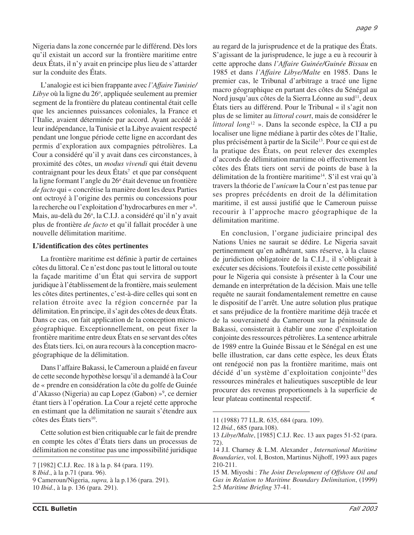Nigeria dans la zone concernée par le différend. Dès lors qu'il existait un accord sur la frontière maritime entre deux États, il n'y avait en principe plus lieu de s'attarder sur la conduite des États.

L'analogie est ici bien frappante avec *l'Affaire Tunisie/* Libye où la ligne du 26°, appliquée seulement au premier segment de la frontière du plateau continental était celle que les anciennes puissances coloniales, la France et l'Italie, avaient déterminée par accord. Ayant accédé à leur indépendance, la Tunisie et la Libye avaient respecté pendant une longue période cette ligne en accordant des permis d'exploration aux compagnies pétrolières. La Cour a considéré qu'il y avait dans ces circonstances, à proximité des côtes, un *modus vivendi* qui était devenu  $contrajgnant pour les deux États<sup>7</sup> et que par conséquent$ la ligne formant l'angle du 26<sup>°</sup> était devenue un frontière *de facto* qui « concrétise la manière dont les deux Parties ont octroyé à l'origine des permis ou concessions pour la recherche ou l'exploitation d'hydrocarbures en mer »<sup>8</sup>. Mais, au-delà du 26º, la C.I.J. a considéré qu'il n'y avait plus de frontière *de facto* et qu'il fallait procéder à une nouvelle délimitation maritime.

### **L'identification des côtes pertinentes**

La frontière maritime est définie à partir de certaines côtes du littoral. Ce n'est donc pas tout le littoral ou toute la façade maritime d'un État qui servira de support juridique à l'établissement de la frontière, mais seulement les côtes dites pertinentes, c'est-à-dire celles qui sont en relation étroite avec la région concernée par la délimitation. En principe, il s'agit des côtes de deux États. Dans ce cas, on fait application de la conception microgéographique. Exceptionnellement, on peut fixer la frontière maritime entre deux États en se servant des côtes des États tiers. Ici, on aura recours à la conception macrogéographique de la délimitation.

Dans l'affaire Bakassi, le Cameroun a plaidé en faveur de cette seconde hypothèse lorsqu'il a demandé à la Cour de « prendre en considération la côte du golfe de Guinée d'Akasso (Nigeria) au cap Lopez (Gabon) »<sup>9</sup>, ce dernier étant tiers à l'opération. La Cour a rejeté cette approche en estimant que la délimitation ne saurait s'étendre aux  $c$ ôtes des États tiers<sup>10</sup>.

Cette solution est bien critiquable car le fait de prendre en compte les côtes d'États tiers dans un processus de délimitation ne constitue pas une impossibilité juridique

au regard de la jurisprudence et de la pratique des États. S'agissant de la jurisprudence, le juge a eu à recourir à cette approche dans *l'Affaire Guinée/Guinée Bissau* en 1985 et dans *l'Affaire Libye/Malte* en 1985. Dans le premier cas, le Tribunal d'arbitrage a tracé une ligne macro géographique en partant des côtes du Sénégal au Nord jusqu'aux côtes de la Sierra Léonne au sud<sup>11</sup>, deux États tiers au différend. Pour le Tribunal « il s'agit non plus de se limiter au *littoral court*, mais de considérer le *littoral long*<sup>12</sup> ». Dans la seconde espèce, la CIJ a pu localiser une ligne médiane à partir des côtes de l'Italie, plus précisément à partir de la Sicile13. Pour ce qui est de la pratique des États, on peut relever des exemples d'accords de délimitation maritime où effectivement les côtes des États tiers ont servi de points de base à la délimitation de la frontière maritime<sup>14</sup>. S'il est vrai qu'à travers la théorie de l'*unicum* la Cour n'est pas tenue par ses propres précédents en droit de la délimitation maritime, il est aussi justifié que le Cameroun puisse recourir à l'approche macro géographique de la délimitation maritime.

En conclusion, l'organe judiciaire principal des Nations Unies ne saurait se dédire. Le Nigeria savait pertinemment qu'en adhérant, sans réserve, à la clause de juridiction obligatoire de la C.I.J., il s'obligeait à exécuter ses décisions. Toutefois il existe cette possibilité pour le Nigeria qui consiste à présenter à la Cour une demande en interprétation de la décision. Mais une telle requête ne saurait fondamentalement remettre en cause le dispositif de l'arrêt. Une autre solution plus pratique et sans préjudice de la frontière maritime déjà tracée et de la souveraineté du Cameroun sur la péninsule de Bakassi, consisterait à établir une zone d'exploitation conjointe des ressources pétrolières. La sentence arbitrale de 1989 entre la Guinée Bissau et le Sénégal en est une belle illustration, car dans cette espèce, les deux États ont renégocié non pas la frontière maritime, mais ont décidé d'un système d'exploitation conjointe15 des ressources minérales et halieutiques susceptible de leur procurer des revenus proportionnels à la superficie de leur plateau continental respectif.

<sup>7 [1982]</sup> C.I.J. Rec. 18 à la p. 84 (para. 119).

<sup>8</sup> *Ibid*., à la p.71 (para. 96).

<sup>9</sup> Cameroun/Nigeria, *supra,* à la p.136 (para. 291).

<sup>10</sup> *Ibid*., à la p. 136 (para. 291).

<sup>11 (1988) 77</sup> I.L.R. 635, 684 (para. 109).

<sup>12</sup> *Ibid*., 685 (para.108).

<sup>13</sup> *Libye/Malte*, [1985] C.I.J. Rec. 13 aux pages 51-52 (para. 72).

<sup>14</sup> J.I. Charney & L.M. Alexander , *International Maritime Boundaries*, vol. I, Boston, Martinus Nijhoff, 1993 aux pages 210-211.

<sup>15</sup> M. Miyoshi : *The Joint Development of Offshore Oil and Gas in Relation to Maritime Boundary Delimitation*, (1999) 2:5 *Maritime Briefing* 37-41.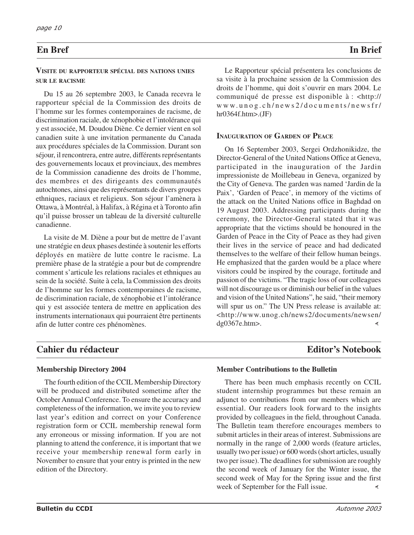### **VISITE DU RAPPORTEUR SPÉCIAL DES NATIONS UNIES SUR LE RACISME**

Du 15 au 26 septembre 2003, le Canada recevra le rapporteur spécial de la Commission des droits de l'homme sur les formes contemporaines de racisme, de discrimination raciale, de xénophobie et l'intolérance qui y est associée, M. Doudou Diène. Ce dernier vient en sol canadien suite à une invitation permanente du Canada aux procédures spéciales de la Commission. Durant son séjour, il rencontrera, entre autre, différents représentants des gouvernements locaux et provinciaux, des membres de la Commission canadienne des droits de l'homme, des membres et des dirigeants des communautés autochtones, ainsi que des représentants de divers groupes ethniques, raciaux et religieux. Son séjour l'amènera à Ottawa, à Montréal, à Halifax, à Régina et à Toronto afin qu'il puisse brosser un tableau de la diversité culturelle canadienne.

La visite de M. Diène a pour but de mettre de l'avant une stratégie en deux phases destinée à soutenir les efforts déployés en matière de lutte contre le racisme. La première phase de la stratégie a pour but de comprendre comment s'articule les relations raciales et ethniques au sein de la société. Suite à cela, la Commission des droits de l'homme sur les formes contemporaines de racisme, de discrimination raciale, de xénophobie et l'intolérance qui y est associée tentera de mettre en application des instruments internationaux qui pourraient être pertinents afin de lutter contre ces phénomènes.

### Le Rapporteur spécial présentera les conclusions de sa visite à la prochaine session de la Commission des droits de l'homme, qui doit s'ouvrir en mars 2004. Le communiqué de presse est disponible à : <http:// www.unog.ch/news2/documents/newsfr/  $hr0364f.htm$  $\geq$ . (JF)

# **INAUGURATION OF GARDEN OF PEACE**

On 16 September 2003, Sergei Ordzhonikidze, the Director-General of the United Nations Office at Geneva, participated in the inauguration of the Jardin impressioniste de Moillebeau in Geneva, organized by the City of Geneva. The garden was named 'Jardin de la Paix', 'Garden of Peace', in memory of the victims of the attack on the United Nations office in Baghdad on 19 August 2003. Addressing participants during the ceremony, the Director-General stated that it was appropriate that the victims should be honoured in the Garden of Peace in the City of Peace as they had given their lives in the service of peace and had dedicated themselves to the welfare of their fellow human beings. He emphasized that the garden would be a place where visitors could be inspired by the courage, fortitude and passion of the victims. "The tragic loss of our colleagues will not discourage us or diminish our belief in the values and vision of the United Nations", he said, "their memory will spur us on." The UN Press release is available at: <http://www.unog.ch/news2/documents/newsen/ dg0367e.htm>. ∢

# **Cahier du rédacteur entre les comments de la commentainte de la commentainte de la commentainte de la commentainte de la commentainte de la commentainte de la commentainte de la commentainte de la commentainte de la comme**

# **Membership Directory 2004**

The fourth edition of the CCIL Membership Directory will be produced and distributed sometime after the October Annual Conference. To ensure the accuracy and completeness of the information, we invite you to review last year's edition and correct on your Conference registration form or CCIL membership renewal form any erroneous or missing information. If you are not planning to attend the conference, it is important that we receive your membership renewal form early in November to ensure that your entry is printed in the new edition of the Directory.

### **Member Contributions to the Bulletin**

There has been much emphasis recently on CCIL student internship programmes but these remain an adjunct to contributions from our members which are essential. Our readers look forward to the insights provided by colleagues in the field, throughout Canada. The Bulletin team therefore encourages members to submit articles in their areas of interest. Submissions are normally in the range of 2,000 words (feature articles, usually two per issue) or 600 words (short articles, usually two per issue). The deadlines for submission are roughly the second week of January for the Winter issue, the second week of May for the Spring issue and the first week of September for the Fall issue.∢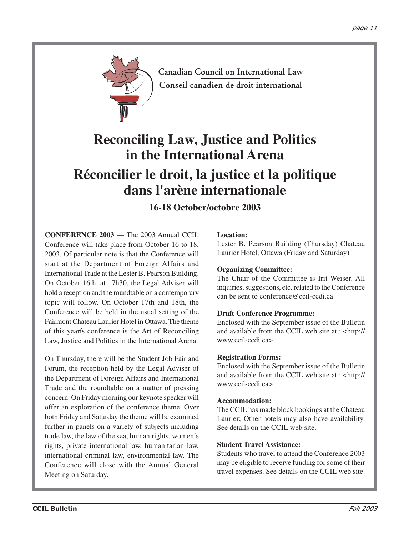

**Canadian Council on International Law Conseil canadien de droit international**

# **Reconciling Law, Justice and Politics in the International Arena**

# **Réconcilier le droit, la justice et la politique dans l'arène internationale**

# **16-18 October/octobre 2003**

**CONFERENCE 2003** — The 2003 Annual CCIL Conference will take place from October 16 to 18, 2003. Of particular note is that the Conference will start at the Department of Foreign Affairs and International Trade at the Lester B. Pearson Building. On October 16th, at 17h30, the Legal Adviser will hold a reception and the roundtable on a contemporary topic will follow. On October 17th and 18th, the Conference will be held in the usual setting of the Fairmont Chateau Laurier Hotel in Ottawa. The theme of this yearís conference is the Art of Reconciling Law, Justice and Politics in the International Arena.

On Thursday, there will be the Student Job Fair and Forum, the reception held by the Legal Adviser of the Department of Foreign Affairs and International Trade and the roundtable on a matter of pressing concern. On Friday morning our keynote speaker will offer an exploration of the conference theme. Over both Friday and Saturday the theme will be examined further in panels on a variety of subjects including trade law, the law of the sea, human rights, womenís rights, private international law, humanitarian law, international criminal law, environmental law. The Conference will close with the Annual General Meeting on Saturday.

### **Location:**

Lester B. Pearson Building (Thursday) Chateau Laurier Hotel, Ottawa (Friday and Saturday)

### **Organizing Committee:**

The Chair of the Committee is Irit Weiser. All inquiries, suggestions, etc. related to the Conference can be sent to conference@ccil-ccdi.ca

### **Draft Conference Programme:**

Enclosed with the September issue of the Bulletin and available from the CCIL web site at : <http:// www.ccil-ccdi.ca>

### **Registration Forms:**

Enclosed with the September issue of the Bulletin and available from the CCIL web site at : <http:// www.ccil-ccdi.ca>

### **Accommodation:**

The CCIL has made block bookings at the Chateau Laurier; Other hotels may also have availability. See details on the CCIL web site.

### **Student Travel Assistance:**

Students who travel to attend the Conference 2003 may be eligible to receive funding for some of their travel expenses. See details on the CCIL web site.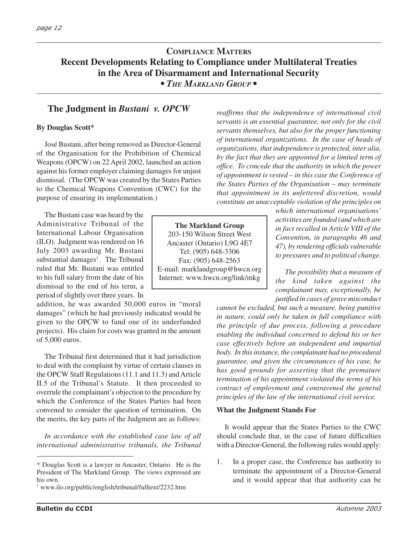# **COMPLIANCE MATTERS Recent Developments Relating to Compliance under Multilateral Treaties in the Area of Disarmament and International Security**

*• THE MARKLAND GROUP •*

# **The Judgment in** *Bustani v. OPCW*

### **By Douglas Scott\***

José Bustani, after being removed as Director-General of the Organisation for the Prohibition of Chemical Weapons (OPCW) on 22 April 2002, launched an action against his former employer claiming damages for unjust dismissal. (The OPCW was created by the States Parties to the Chemical Weapons Convention (CWC) for the purpose of ensuring its implementation.)

The Bustani case was heard by the Administrative Tribunal of the International Labour Organisation (ILO). Judgment was rendered on 16 July 2003 awarding Mr. Bustani substantial damages<sup>1</sup>. The Tribunal ruled that Mr. Bustani was entitled to his full salary from the date of his dismissal to the end of his term, a period of slightly over three years. In

addition, he was awarded 50,000 euros in "moral damages" (which he had previously indicated would be given to the OPCW to fund one of its underfunded projects). His claim for costs was granted in the amount of 5,000 euros.

The Tribunal first determined that it had jurisdiction to deal with the complaint by virtue of certain clauses in the OPCW Staff Regulations (11.1 and 11.3) and Article II.5 of the Tribunal's Statute. It then proceeded to overrule the complainant's objection to the procedure by which the Conference of the States Parties had been convened to consider the question of termination. On the merits, the key parts of the Judgment are as follows:

*In accordance with the established case law of all international administrative tribunals, the Tribunal* *reaffirms that the independence of international civil servants is an essential guarantee, not only for the civil servants themselves, but also for the proper functioning of international organizations. In the case of heads of organizations, that independence is protected, inter alia, by the fact that they are appointed for a limited term of office. To concede that the authority in which the power of appointment is vested – in this case the Conference of the States Parties of the Organisation – may terminate that appointment in its unfettered discretion, would constitute an unacceptable violation of the principles on*

**The Markland Group** 203-150 Wilson Street West Ancaster (Ontario) L9G 4E7 Tel: (905) 648-3306 Fax: (905) 648-2563 E-mail: marklandgroup@hwcn.org Internet: www.hwcn.org/link/mkg

*which international organisations' activities are founded (and which are in fact recalled in Article VIII of the Convention, in paragraphs 46 and 47), by rendering officials vulnerable to pressures and to political change.*

*The possibility that a measure of the kind taken against the complainant may, exceptionally, be justified in cases of grave misconduct*

*cannot be excluded, but such a measure, being punitive in nature, could only be taken in full compliance with the principle of due process, following a procedure enabling the individual concerned to defend his or her case effectively before an independent and impartial body. In this instance, the complainant had no procedural guarantee, and given the circumstances of his case, he has good grounds for asserting that the premature termination of his appointment violated the terms of his contract of employment and contravened the general principles of the law of the international civil service.*

### **What the Judgment Stands For**

It would appear that the States Parties to the CWC should conclude that, in the case of future difficulties with a Director-General, the following rules would apply:

1. In a proper case, the Conference has authority to terminate the appointment of a Director-General and it would appear that that authority can be

<sup>\*</sup> Douglas Scott is a lawyer in Ancaster, Ontario. He is the President of The Markland Group. The views expressed are his own.

<sup>1</sup> www.ilo.org/public/english/tribunal/fulltext/2232.htm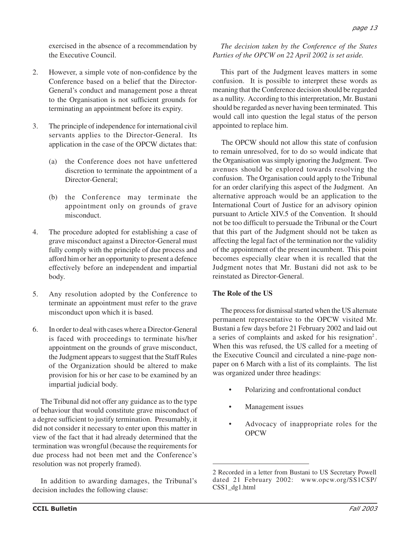exercised in the absence of a recommendation by the Executive Council.

- 2. However, a simple vote of non-confidence by the Conference based on a belief that the Director-General's conduct and management pose a threat to the Organisation is not sufficient grounds for terminating an appointment before its expiry.
- 3. The principle of independence for international civil servants applies to the Director-General. Its application in the case of the OPCW dictates that:
	- (a) the Conference does not have unfettered discretion to terminate the appointment of a Director-General;
	- (b) the Conference may terminate the appointment only on grounds of grave misconduct.
- 4. The procedure adopted for establishing a case of grave misconduct against a Director-General must fully comply with the principle of due process and afford him or her an opportunity to present a defence effectively before an independent and impartial body.
- 5. Any resolution adopted by the Conference to terminate an appointment must refer to the grave misconduct upon which it is based.
- 6. In order to deal with cases where a Director-General is faced with proceedings to terminate his/her appointment on the grounds of grave misconduct, the Judgment appears to suggest that the Staff Rules of the Organization should be altered to make provision for his or her case to be examined by an impartial judicial body.

The Tribunal did not offer any guidance as to the type of behaviour that would constitute grave misconduct of a degree sufficient to justify termination. Presumably, it did not consider it necessary to enter upon this matter in view of the fact that it had already determined that the termination was wrongful (because the requirements for due process had not been met and the Conference's resolution was not properly framed).

In addition to awarding damages, the Tribunal's decision includes the following clause:

### *The decision taken by the Conference of the States Parties of the OPCW on 22 April 2002 is set aside.*

This part of the Judgment leaves matters in some confusion. It is possible to interpret these words as meaning that the Conference decision should be regarded as a nullity. According to this interpretation, Mr. Bustani should be regarded as never having been terminated. This would call into question the legal status of the person appointed to replace him.

The OPCW should not allow this state of confusion to remain unresolved, for to do so would indicate that the Organisation was simply ignoring the Judgment. Two avenues should be explored towards resolving the confusion. The Organisation could apply to the Tribunal for an order clarifying this aspect of the Judgment. An alternative approach would be an application to the International Court of Justice for an advisory opinion pursuant to Article XIV.5 of the Convention. It should not be too difficult to persuade the Tribunal or the Court that this part of the Judgment should not be taken as affecting the legal fact of the termination nor the validity of the appointment of the present incumbent. This point becomes especially clear when it is recalled that the Judgment notes that Mr. Bustani did not ask to be reinstated as Director-General.

### **The Role of the US**

The process for dismissal started when the US alternate permanent representative to the OPCW visited Mr. Bustani a few days before 21 February 2002 and laid out a series of complaints and asked for his resignation2 . When this was refused, the US called for a meeting of the Executive Council and circulated a nine-page nonpaper on 6 March with a list of its complaints. The list was organized under three headings:

- Polarizing and confrontational conduct
- Management issues
- Advocacy of inappropriate roles for the OPCW

<sup>2</sup> Recorded in a letter from Bustani to US Secretary Powell dated 21 February 2002: www.opcw.org/SS1CSP/ CSS1\_dg1.html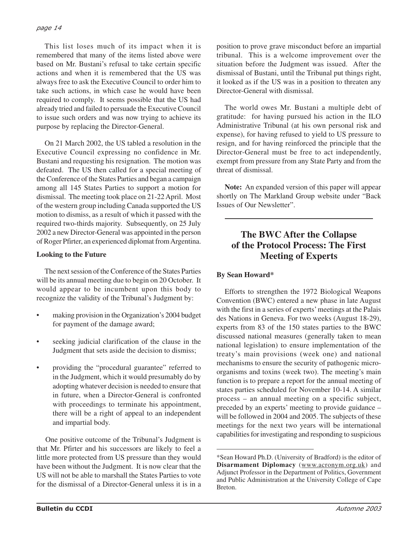This list loses much of its impact when it is remembered that many of the items listed above were based on Mr. Bustani's refusal to take certain specific actions and when it is remembered that the US was always free to ask the Executive Council to order him to take such actions, in which case he would have been required to comply. It seems possible that the US had already tried and failed to persuade the Executive Council to issue such orders and was now trying to achieve its purpose by replacing the Director-General.

On 21 March 2002, the US tabled a resolution in the Executive Council expressing no confidence in Mr. Bustani and requesting his resignation. The motion was defeated. The US then called for a special meeting of the Conference of the States Parties and began a campaign among all 145 States Parties to support a motion for dismissal. The meeting took place on 21-22 April. Most of the western group including Canada supported the US motion to dismiss, as a result of which it passed with the required two-thirds majority. Subsequently, on 25 July 2002 a new Director-General was appointed in the person of Roger Pfirter, an experienced diplomat from Argentina.

### **Looking to the Future**

The next session of the Conference of the States Parties will be its annual meeting due to begin on 20 October. It would appear to be incumbent upon this body to recognize the validity of the Tribunal's Judgment by:

- making provision in the Organization's 2004 budget for payment of the damage award;
- seeking judicial clarification of the clause in the Judgment that sets aside the decision to dismiss;
- providing the "procedural guarantee" referred to in the Judgment, which it would presumably do by adopting whatever decision is needed to ensure that in future, when a Director-General is confronted with proceedings to terminate his appointment, there will be a right of appeal to an independent and impartial body.

One positive outcome of the Tribunal's Judgment is that Mr. Pfirter and his successors are likely to feel a little more protected from US pressure than they would have been without the Judgment. It is now clear that the US will not be able to marshall the States Parties to vote for the dismissal of a Director-General unless it is in a position to prove grave misconduct before an impartial tribunal. This is a welcome improvement over the situation before the Judgment was issued. After the dismissal of Bustani, until the Tribunal put things right, it looked as if the US was in a position to threaten any Director-General with dismissal.

The world owes Mr. Bustani a multiple debt of gratitude: for having pursued his action in the ILO Administrative Tribunal (at his own personal risk and expense), for having refused to yield to US pressure to resign, and for having reinforced the principle that the Director-General must be free to act independently, exempt from pressure from any State Party and from the threat of dismissal.

**Note:** An expanded version of this paper will appear shortly on The Markland Group website under "Back Issues of Our Newsletter".

# **The BWC After the Collapse of the Protocol Process: The First Meeting of Experts**

## **By Sean Howard\***

Efforts to strengthen the 1972 Biological Weapons Convention (BWC) entered a new phase in late August with the first in a series of experts' meetings at the Palais des Nations in Geneva. For two weeks (August 18-29), experts from 83 of the 150 states parties to the BWC discussed national measures (generally taken to mean national legislation) to ensure implementation of the treaty's main provisions (week one) and national mechanisms to ensure the security of pathogenic microorganisms and toxins (week two). The meeting's main function is to prepare a report for the annual meeting of states parties scheduled for November 10-14. A similar process – an annual meeting on a specific subject, preceded by an experts' meeting to provide guidance – will be followed in 2004 and 2005. The subjects of these meetings for the next two years will be international capabilities for investigating and responding to suspicious

<sup>\*</sup>Sean Howard Ph.D. (University of Bradford) is the editor of **Disarmament Diplomacy** (www.acronym.org.uk) and Adjunct Professor in the Department of Politics, Government and Public Administration at the University College of Cape Breton.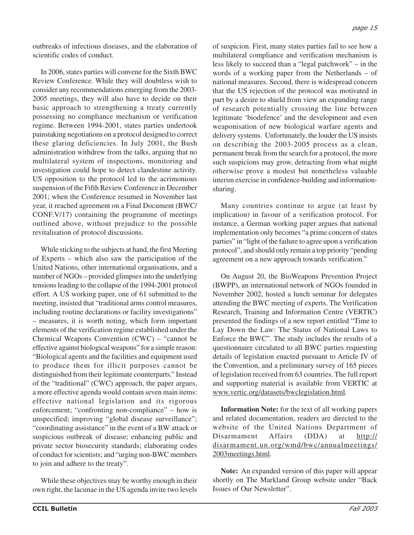outbreaks of infectious diseases, and the elaboration of scientific codes of conduct.

In 2006, states parties will convene for the Sixth BWC Review Conference. While they will doubtless wish to consider any recommendations emerging from the 2003- 2005 meetings, they will also have to decide on their basic approach to strengthening a treaty currently possessing no compliance mechanism or verification regime. Between 1994-2001, states parties undertook painstaking negotiations on a protocol designed to correct these glaring deficiencies. In July 2001, the Bush administration withdrew from the talks, arguing that no multilateral system of inspections, monitoring and investigation could hope to detect clandestine activity. US opposition to the protocol led to the acrimonious suspension of the Fifth Review Conference in December 2001; when the Conference resumed in November last year, it reached agreement on a Final Document (BWC/ CONF.V/17) containing the programme of meetings outlined above, without prejudice to the possible revitalisation of protocol discussions.

While sticking to the subjects at hand, the first Meeting of Experts – which also saw the participation of the United Nations, other international organisations, and a number of NGOs – provided glimpses into the underlying tensions leading to the collapse of the 1994-2001 protocol effort. A US working paper, one of 61 submitted to the meeting, insisted that "traditional arms control measures, including routine declarations or facility investigations" – measures, it is worth noting, which form important elements of the verification regime established under the Chemical Weapons Convention (CWC) – "cannot be effective against biological weapons" for a simple reason: "Biological agents and the facilities and equipment used to produce them for illicit purposes cannot be distinguished from their legitimate counterparts." Instead of the "traditional" (CWC) approach, the paper argues, a more effective agenda would contain seven main items: effective national legislation and its rigorous enforcement; "confronting non-compliance" – how is unspecified; improving "global disease surveillance"; "coordinating assistance" in the event of a BW attack or suspicious outbreak of disease; enhancing public and private sector biosecurity standards; elaborating codes of conduct for scientists; and "urging non-BWC members to join and adhere to the treaty".

While these objectives may be worthy enough in their own right, the lacunae in the US agenda invite two levels of suspicion. First, many states parties fail to see how a multilateral compliance and verification mechanism is less likely to succeed than a "legal patchwork" – in the words of a working paper from the Netherlands – of national measures. Second, there is widespread concern that the US rejection of the protocol was motivated in part by a desire to shield from view an expanding range of research potentially crossing the line between legitimate 'biodefence' and the development and even weaponisation of new biological warfare agents and delivery systems. Unfortunately, the louder the US insists on describing the 2003-2005 process as a clean, permanent break from the search for a protocol, the more such suspicions may grow, detracting from what might otherwise prove a modest but nonetheless valuable interim exercise in confidence-building and informationsharing.

Many countries continue to argue (at least by implication) in favour of a verification protocol. For instance, a German working paper argues that national implementation only becomes "a prime concern of states parties" in "light of the failure to agree upon a verification protocol", and should only remain a top priority "pending agreement on a new approach towards verification."

On August 20, the BioWeapons Prevention Project (BWPP), an international network of NGOs founded in November 2002, hosted a lunch seminar for delegates attending the BWC meeting of experts. The Verification Research, Training and Information Centre (VERTIC) presented the findings of a new report entitled "Time to Lay Down the Law: The Status of National Laws to Enforce the BWC". The study includes the results of a questionnaire circulated to all BWC parties requesting details of legislation enacted pursuant to Article IV of the Convention, and a preliminary survey of 165 pieces of legislation received from 63 countries. The full report and supporting material is available from VERTIC at www.vertic.org/datasets/bwclegislation.html.

**Information Note:** for the text of all working papers and related documentation, readers are directed to the website of the United Nations Department of Disarmament Affairs (DDA) at http:// disarmament.un.org/wmd/bwc/annualmeetings/ 2003meetings.html.

**Note:** An expanded version of this paper will appear shortly on The Markland Group website under "Back Issues of Our Newsletter".